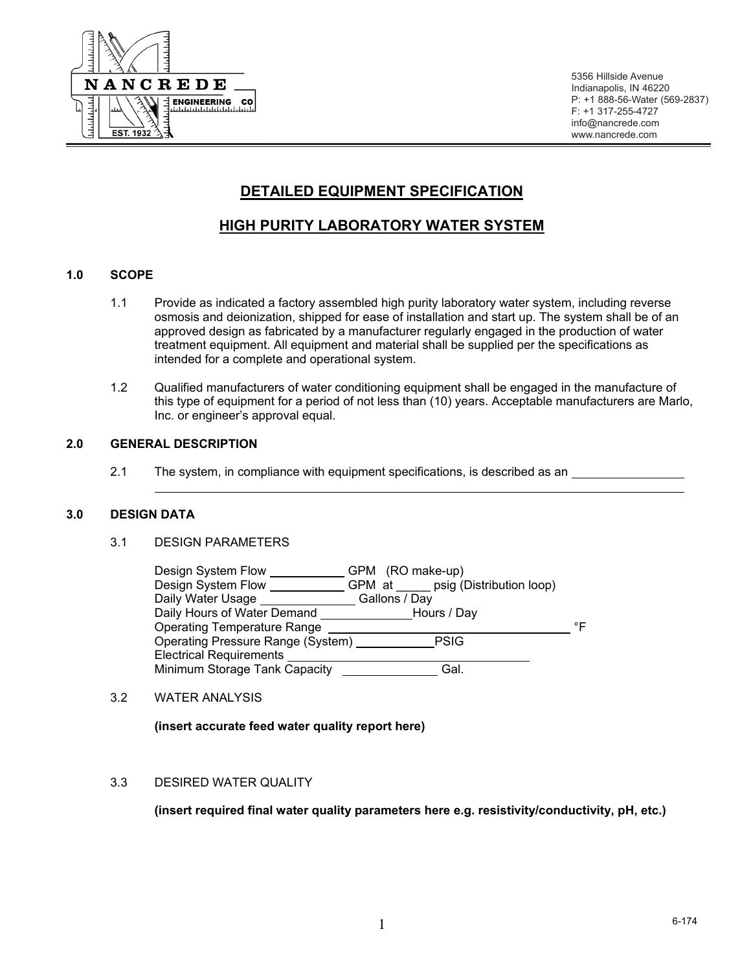

5356 Hillside Avenue Indianapolis, IN 46220 P: +1 888-56-Water (569-2837) F: +1 317-255-4727 info@nancrede.com www.nancrede.com

# **DETAILED EQUIPMENT SPECIFICATION**

# **HIGH PURITY LABORATORY WATER SYSTEM**

# **1.0 SCOPE**

- 1.1 Provide as indicated a factory assembled high purity laboratory water system, including reverse osmosis and deionization, shipped for ease of installation and start up. The system shall be of an approved design as fabricated by a manufacturer regularly engaged in the production of water treatment equipment. All equipment and material shall be supplied per the specifications as intended for a complete and operational system.
- 1.2 Qualified manufacturers of water conditioning equipment shall be engaged in the manufacture of this type of equipment for a period of not less than (10) years. Acceptable manufacturers are Marlo, Inc. or engineer's approval equal.

## **2.0 GENERAL DESCRIPTION**

2.1 The system, in compliance with equipment specifications, is described as an

#### **3.0 DESIGN DATA**

## 3.1 DESIGN PARAMETERS

| Design System Flow<br>Design System Flow | GPM (RO make-up)<br>GPM at psig (Distribution loop) |    |
|------------------------------------------|-----------------------------------------------------|----|
| Daily Water Usage                        | Gallons / Day                                       |    |
| Daily Hours of Water Demand              | Hours / Day                                         |    |
| <b>Operating Temperature Range</b>       |                                                     | ∘⊏ |
| Operating Pressure Range (System)        | <b>PSIG</b>                                         |    |
| <b>Electrical Requirements</b>           |                                                     |    |
| Minimum Storage Tank Capacity            | Gal.                                                |    |

3.2 WATER ANALYSIS

 **(insert accurate feed water quality report here)** 

# 3.3 DESIRED WATER QUALITY

 **(insert required final water quality parameters here e.g. resistivity/conductivity, pH, etc.)**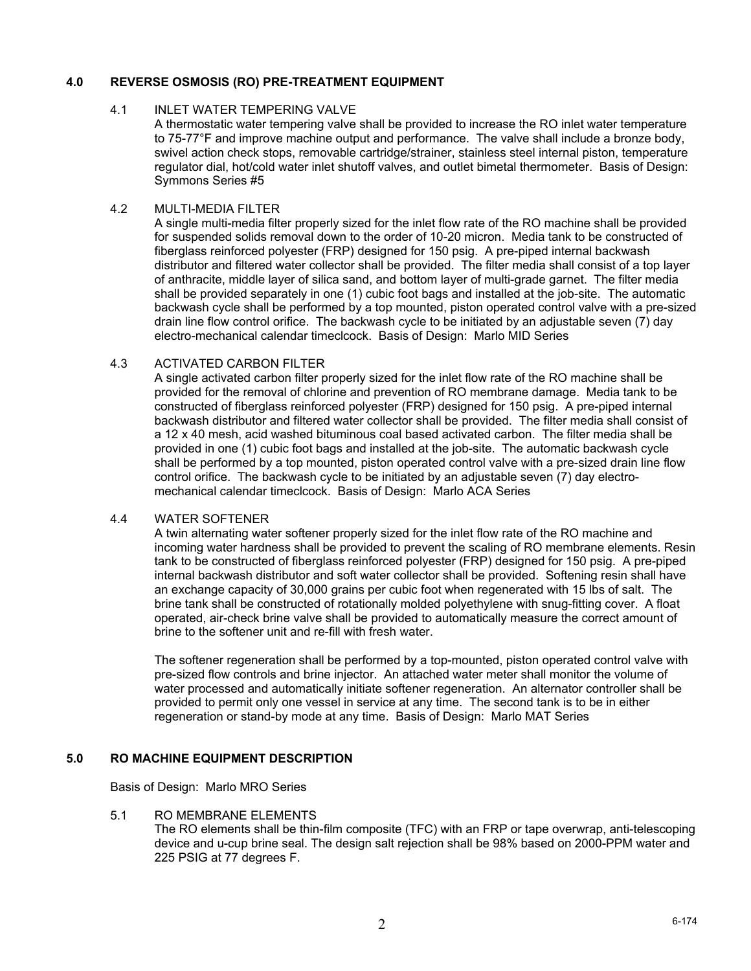# **4.0 REVERSE OSMOSIS (RO) PRE-TREATMENT EQUIPMENT**

### 4.1 INLET WATER TEMPERING VALVE

A thermostatic water tempering valve shall be provided to increase the RO inlet water temperature to 75-77°F and improve machine output and performance. The valve shall include a bronze body, swivel action check stops, removable cartridge/strainer, stainless steel internal piston, temperature regulator dial, hot/cold water inlet shutoff valves, and outlet bimetal thermometer. Basis of Design: Symmons Series #5

# 4.2 MULTI-MEDIA FILTER

A single multi-media filter properly sized for the inlet flow rate of the RO machine shall be provided for suspended solids removal down to the order of 10-20 micron. Media tank to be constructed of fiberglass reinforced polyester (FRP) designed for 150 psig. A pre-piped internal backwash distributor and filtered water collector shall be provided. The filter media shall consist of a top layer of anthracite, middle layer of silica sand, and bottom layer of multi-grade garnet. The filter media shall be provided separately in one (1) cubic foot bags and installed at the job-site. The automatic backwash cycle shall be performed by a top mounted, piston operated control valve with a pre-sized drain line flow control orifice. The backwash cycle to be initiated by an adjustable seven (7) day electro-mechanical calendar timeclcock. Basis of Design: Marlo MID Series

## 4.3 ACTIVATED CARBON FILTER

A single activated carbon filter properly sized for the inlet flow rate of the RO machine shall be provided for the removal of chlorine and prevention of RO membrane damage. Media tank to be constructed of fiberglass reinforced polyester (FRP) designed for 150 psig. A pre-piped internal backwash distributor and filtered water collector shall be provided. The filter media shall consist of a 12 x 40 mesh, acid washed bituminous coal based activated carbon. The filter media shall be provided in one (1) cubic foot bags and installed at the job-site. The automatic backwash cycle shall be performed by a top mounted, piston operated control valve with a pre-sized drain line flow control orifice. The backwash cycle to be initiated by an adjustable seven (7) day electromechanical calendar timeclcock. Basis of Design: Marlo ACA Series

#### 4.4 WATER SOFTENER

A twin alternating water softener properly sized for the inlet flow rate of the RO machine and incoming water hardness shall be provided to prevent the scaling of RO membrane elements. Resin tank to be constructed of fiberglass reinforced polyester (FRP) designed for 150 psig. A pre-piped internal backwash distributor and soft water collector shall be provided. Softening resin shall have an exchange capacity of 30,000 grains per cubic foot when regenerated with 15 lbs of salt. The brine tank shall be constructed of rotationally molded polyethylene with snug-fitting cover. A float operated, air-check brine valve shall be provided to automatically measure the correct amount of brine to the softener unit and re-fill with fresh water.

The softener regeneration shall be performed by a top-mounted, piston operated control valve with pre-sized flow controls and brine injector. An attached water meter shall monitor the volume of water processed and automatically initiate softener regeneration. An alternator controller shall be provided to permit only one vessel in service at any time. The second tank is to be in either regeneration or stand-by mode at any time. Basis of Design: Marlo MAT Series

# **5.0 RO MACHINE EQUIPMENT DESCRIPTION**

Basis of Design: Marlo MRO Series

#### 5.1 RO MEMBRANE ELEMENTS

The RO elements shall be thin-film composite (TFC) with an FRP or tape overwrap, anti-telescoping device and u-cup brine seal. The design salt rejection shall be 98% based on 2000-PPM water and 225 PSIG at 77 degrees F.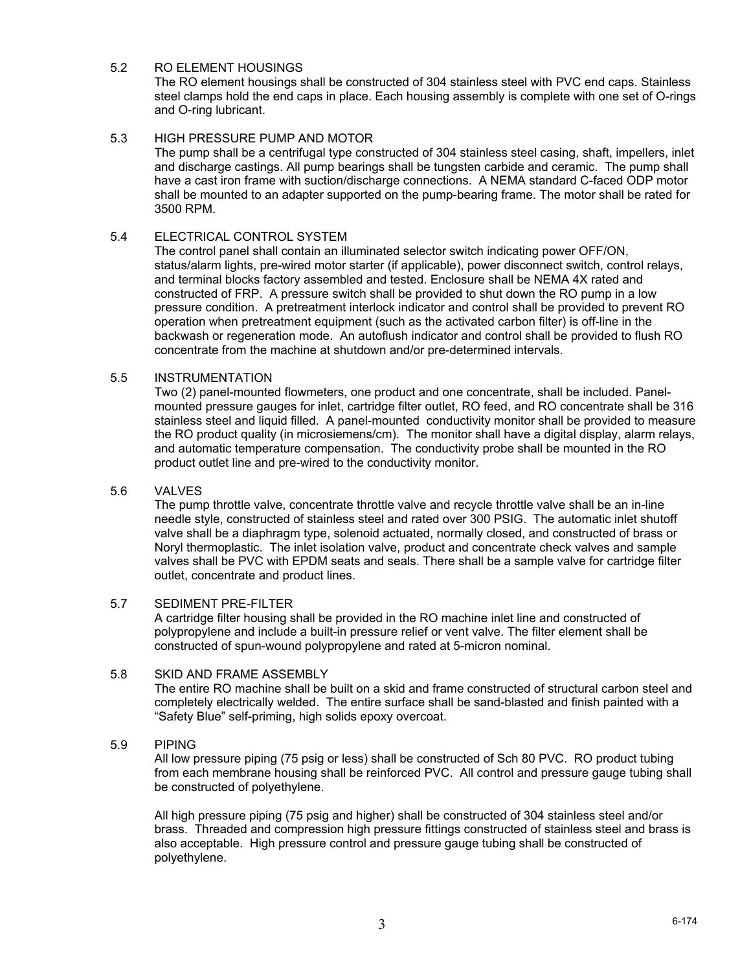## 5.2 RO ELEMENT HOUSINGS

The RO element housings shall be constructed of 304 stainless steel with PVC end caps. Stainless steel clamps hold the end caps in place. Each housing assembly is complete with one set of O-rings and O-ring lubricant.

## 5.3 HIGH PRESSURE PUMP AND MOTOR

The pump shall be a centrifugal type constructed of 304 stainless steel casing, shaft, impellers, inlet and discharge castings. All pump bearings shall be tungsten carbide and ceramic. The pump shall have a cast iron frame with suction/discharge connections. A NEMA standard C-faced ODP motor shall be mounted to an adapter supported on the pump-bearing frame. The motor shall be rated for 3500 RPM.

#### 5.4 ELECTRICAL CONTROL SYSTEM

The control panel shall contain an illuminated selector switch indicating power OFF/ON, status/alarm lights, pre-wired motor starter (if applicable), power disconnect switch, control relays, and terminal blocks factory assembled and tested. Enclosure shall be NEMA 4X rated and constructed of FRP. A pressure switch shall be provided to shut down the RO pump in a low pressure condition. A pretreatment interlock indicator and control shall be provided to prevent RO operation when pretreatment equipment (such as the activated carbon filter) is off-line in the backwash or regeneration mode. An autoflush indicator and control shall be provided to flush RO concentrate from the machine at shutdown and/or pre-determined intervals.

## 5.5 INSTRUMENTATION

Two (2) panel-mounted flowmeters, one product and one concentrate, shall be included. Panelmounted pressure gauges for inlet, cartridge filter outlet, RO feed, and RO concentrate shall be 316 stainless steel and liquid filled. A panel-mounted conductivity monitor shall be provided to measure the RO product quality (in microsiemens/cm). The monitor shall have a digital display, alarm relays, and automatic temperature compensation. The conductivity probe shall be mounted in the RO product outlet line and pre-wired to the conductivity monitor.

#### 5.6 VALVES

The pump throttle valve, concentrate throttle valve and recycle throttle valve shall be an in-line needle style, constructed of stainless steel and rated over 300 PSIG. The automatic inlet shutoff valve shall be a diaphragm type, solenoid actuated, normally closed, and constructed of brass or Noryl thermoplastic. The inlet isolation valve, product and concentrate check valves and sample valves shall be PVC with EPDM seats and seals. There shall be a sample valve for cartridge filter outlet, concentrate and product lines.

#### 5.7 SEDIMENT PRE-FILTER

A cartridge filter housing shall be provided in the RO machine inlet line and constructed of polypropylene and include a built-in pressure relief or vent valve. The filter element shall be constructed of spun-wound polypropylene and rated at 5-micron nominal.

# 5.8 SKID AND FRAME ASSEMBLY

The entire RO machine shall be built on a skid and frame constructed of structural carbon steel and completely electrically welded. The entire surface shall be sand-blasted and finish painted with a "Safety Blue" self-priming, high solids epoxy overcoat.

5.9 PIPING

All low pressure piping (75 psig or less) shall be constructed of Sch 80 PVC. RO product tubing from each membrane housing shall be reinforced PVC. All control and pressure gauge tubing shall be constructed of polyethylene.

All high pressure piping (75 psig and higher) shall be constructed of 304 stainless steel and/or brass. Threaded and compression high pressure fittings constructed of stainless steel and brass is also acceptable. High pressure control and pressure gauge tubing shall be constructed of polyethylene.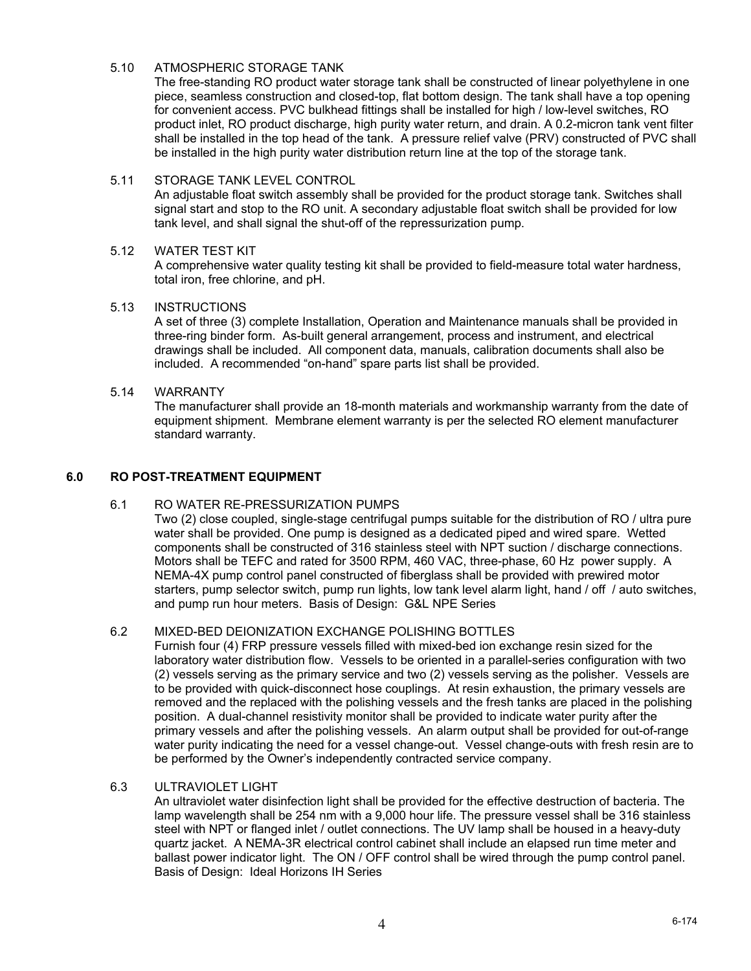## 5.10 ATMOSPHERIC STORAGE TANK

The free-standing RO product water storage tank shall be constructed of linear polyethylene in one piece, seamless construction and closed-top, flat bottom design. The tank shall have a top opening for convenient access. PVC bulkhead fittings shall be installed for high / low-level switches, RO product inlet, RO product discharge, high purity water return, and drain. A 0.2-micron tank vent filter shall be installed in the top head of the tank. A pressure relief valve (PRV) constructed of PVC shall be installed in the high purity water distribution return line at the top of the storage tank.

## 5.11 STORAGE TANK LEVEL CONTROL

An adjustable float switch assembly shall be provided for the product storage tank. Switches shall signal start and stop to the RO unit. A secondary adjustable float switch shall be provided for low tank level, and shall signal the shut-off of the repressurization pump.

## 5.12 WATER TEST KIT

A comprehensive water quality testing kit shall be provided to field-measure total water hardness, total iron, free chlorine, and pH.

## 5.13 INSTRUCTIONS

A set of three (3) complete Installation, Operation and Maintenance manuals shall be provided in three-ring binder form. As-built general arrangement, process and instrument, and electrical drawings shall be included. All component data, manuals, calibration documents shall also be included. A recommended "on-hand" spare parts list shall be provided.

## 5.14 WARRANTY

The manufacturer shall provide an 18-month materials and workmanship warranty from the date of equipment shipment. Membrane element warranty is per the selected RO element manufacturer standard warranty.

## **6.0 RO POST-TREATMENT EQUIPMENT**

# 6.1 RO WATER RE-PRESSURIZATION PUMPS

Two (2) close coupled, single-stage centrifugal pumps suitable for the distribution of RO / ultra pure water shall be provided. One pump is designed as a dedicated piped and wired spare. Wetted components shall be constructed of 316 stainless steel with NPT suction / discharge connections. Motors shall be TEFC and rated for 3500 RPM, 460 VAC, three-phase, 60 Hz power supply. A NEMA-4X pump control panel constructed of fiberglass shall be provided with prewired motor starters, pump selector switch, pump run lights, low tank level alarm light, hand / off / auto switches, and pump run hour meters. Basis of Design: G&L NPE Series

#### 6.2 MIXED-BED DEIONIZATION EXCHANGE POLISHING BOTTLES

Furnish four (4) FRP pressure vessels filled with mixed-bed ion exchange resin sized for the laboratory water distribution flow. Vessels to be oriented in a parallel-series configuration with two (2) vessels serving as the primary service and two (2) vessels serving as the polisher. Vessels are to be provided with quick-disconnect hose couplings. At resin exhaustion, the primary vessels are removed and the replaced with the polishing vessels and the fresh tanks are placed in the polishing position. A dual-channel resistivity monitor shall be provided to indicate water purity after the primary vessels and after the polishing vessels. An alarm output shall be provided for out-of-range water purity indicating the need for a vessel change-out. Vessel change-outs with fresh resin are to be performed by the Owner's independently contracted service company.

#### 6.3 ULTRAVIOLET LIGHT

An ultraviolet water disinfection light shall be provided for the effective destruction of bacteria. The lamp wavelength shall be 254 nm with a 9,000 hour life. The pressure vessel shall be 316 stainless steel with NPT or flanged inlet / outlet connections. The UV lamp shall be housed in a heavy-duty quartz jacket. A NEMA-3R electrical control cabinet shall include an elapsed run time meter and ballast power indicator light. The ON / OFF control shall be wired through the pump control panel. Basis of Design: Ideal Horizons IH Series